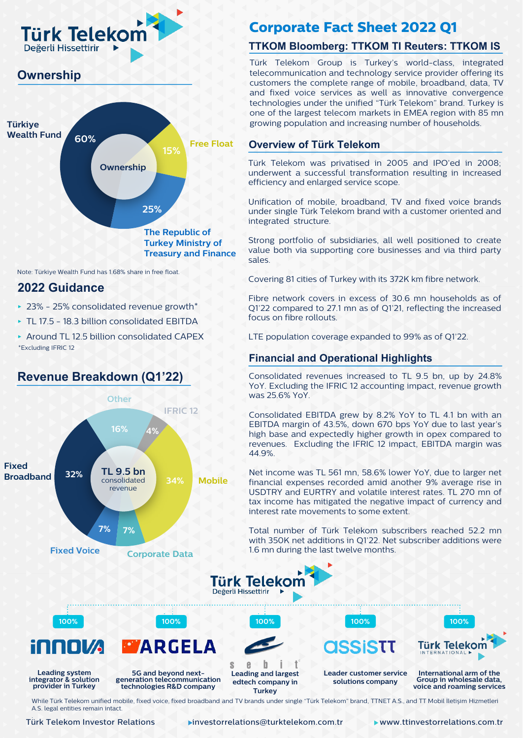

## **Ownership**



Note: Türkiye Wealth Fund has 1.68% share in free float.

### **2022 Guidance**

- ‣ 23% 25% consolidated revenue growth\*
- ‣ TL 17.5 18.3 billion consolidated EBITDA
- ‣ Around TL 12.5 billion consolidated CAPEX \*Excluding IFRIC 12

**Revenue Breakdown (Q1'22)**

## **Other IFRIC 12 16% 4% Fixed TL 9.5 bn 32% Broadband** consolidated **34% Mobile** revenue **7% 7% Corporate Data Fixed Voice 100% 100% 100% 100% 100% WARGELA** s **Leading system integrator & solution 5G and beyond next- generation telecommunication provider in Turkey technologies R&D company**

## **Corporate Fact Sheet 2022 Q1**

### **TTKOM Bloomberg: TTKOM TI Reuters: TTKOM IS**

Türk Telekom Group is Turkey's world-class, integrated telecommunication and technology service provider offering its customers the complete range of mobile, broadband, data, TV and fixed voice services as well as innovative convergence technologies under the unified "Türk Telekom" brand. Turkey is one of the largest telecom markets in EMEA region with 85 mn growing population and increasing number of households.

#### **Overview of Türk Telekom**

Türk Telekom was privatised in 2005 and IPO'ed in 2008; underwent a successful transformation resulting in increased efficiency and enlarged service scope.

Unification of mobile, broadband, TV and fixed voice brands under single Türk Telekom brand with a customer oriented and integrated structure.

Strong portfolio of subsidiaries, all well positioned to create value both via supporting core businesses and via third party sales.

Covering 81 cities of Turkey with its 372K km fibre network.

Fibre network covers in excess of 30.6 mn households as of Q1'22 compared to 27.1 mn as of Q1'21, reflecting the increased focus on fibre rollouts.

LTE population coverage expanded to 99% as of Q1'22.

#### **Financial and Operational Highlights**

Consolidated revenues increased to TL 9.5 bn, up by 24.8% YoY. Excluding the IFRIC 12 accounting impact, revenue growth was 25.6% YoY.

Consolidated EBITDA grew by 8.2% YoY to TL 4.1 bn with an EBITDA margin of 43.5%, down 670 bps YoY due to last year's high base and expectedly higher growth in opex compared to revenues. Excluding the IFRIC 12 impact, EBITDA margin was 44.9%.

Net income was TL 561 mn, 58.6% lower YoY, due to larger net financial expenses recorded amid another 9% average rise in USDTRY and EURTRY and volatile interest rates. TL 270 mn of tax income has mitigated the negative impact of currency and interest rate movements to some extent.

Total number of Türk Telekom subscribers reached 52.2 mn with 350K net additions in Q1'22. Net subscriber additions were 1.6 mn during the last twelve months.



 $\mathbf{e}$ h **Leading and largest edtech company in Turkey**

**Leader customer service solutions company**

**International arm of the Group in wholesale data, voice and roaming services**

Türk Telekom ERNATIONAL

While Türk Telekom unified mobile, fixed voice, fixed broadband and TV brands under single "Türk Telekom" brand, TTNET A.S., and TT Mobil İletişim Hizmetleri A.S. legal entities remain intact.

Türk Telekom Investor Relations

Türk Telekom Investor Relations investorrelations@turktelekom.com.tr www.ttinvestorrelations.com.tr